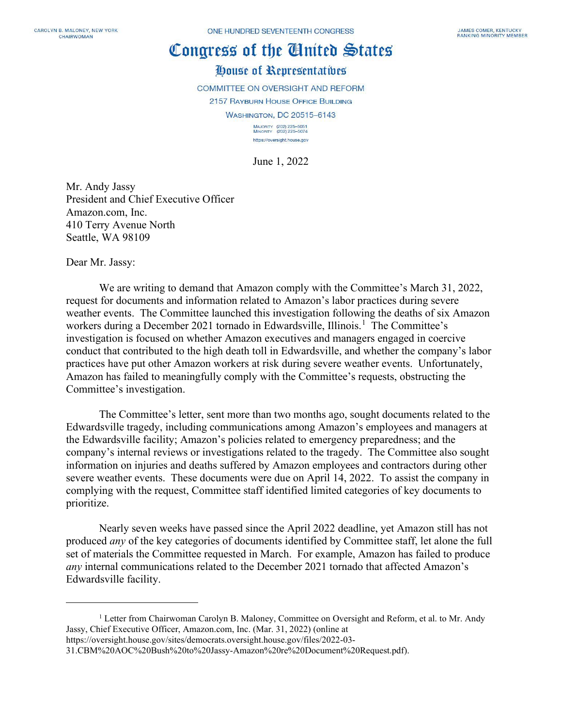## Congress of the Cinited States

## House of Representatives

**COMMITTEE ON OVERSIGHT AND REFORM** 

2157 RAYBURN HOUSE OFFICE BUILDING **WASHINGTON, DC 20515-6143** 

> MAJORITY (202) 225-5051<br>MINORITY (202) 225-5074 https://oversight.house.gov

June 1, 2022

Mr. Andy Jassy President and Chief Executive Officer Amazon.com, Inc. 410 Terry Avenue North Seattle, WA 98109

Dear Mr. Jassy:

We are writing to demand that Amazon comply with the Committee's March 31, 2022, request for documents and information related to Amazon's labor practices during severe weather events. The Committee launched this investigation following the deaths of six Amazon workers during a December 202[1](#page-0-0) tornado in Edwardsville, Illinois.<sup>1</sup> The Committee's investigation is focused on whether Amazon executives and managers engaged in coercive conduct that contributed to the high death toll in Edwardsville, and whether the company's labor practices have put other Amazon workers at risk during severe weather events. Unfortunately, Amazon has failed to meaningfully comply with the Committee's requests, obstructing the Committee's investigation.

The Committee's letter, sent more than two months ago, sought documents related to the Edwardsville tragedy, including communications among Amazon's employees and managers at the Edwardsville facility; Amazon's policies related to emergency preparedness; and the company's internal reviews or investigations related to the tragedy. The Committee also sought information on injuries and deaths suffered by Amazon employees and contractors during other severe weather events. These documents were due on April 14, 2022. To assist the company in complying with the request, Committee staff identified limited categories of key documents to prioritize.

Nearly seven weeks have passed since the April 2022 deadline, yet Amazon still has not produced *any* of the key categories of documents identified by Committee staff, let alone the full set of materials the Committee requested in March. For example, Amazon has failed to produce *any* internal communications related to the December 2021 tornado that affected Amazon's Edwardsville facility.

<span id="page-0-0"></span><sup>&</sup>lt;sup>1</sup> Letter from Chairwoman Carolyn B. Maloney, Committee on Oversight and Reform, et al. to Mr. Andy Jassy, Chief Executive Officer, Amazon.com, Inc. (Mar. 31, 2022) (online at

https://oversight.house.gov/sites/democrats.oversight.house.gov/files/2022-03- 31.CBM%20AOC%20Bush%20to%20Jassy-Amazon%20re%20Document%20Request.pdf).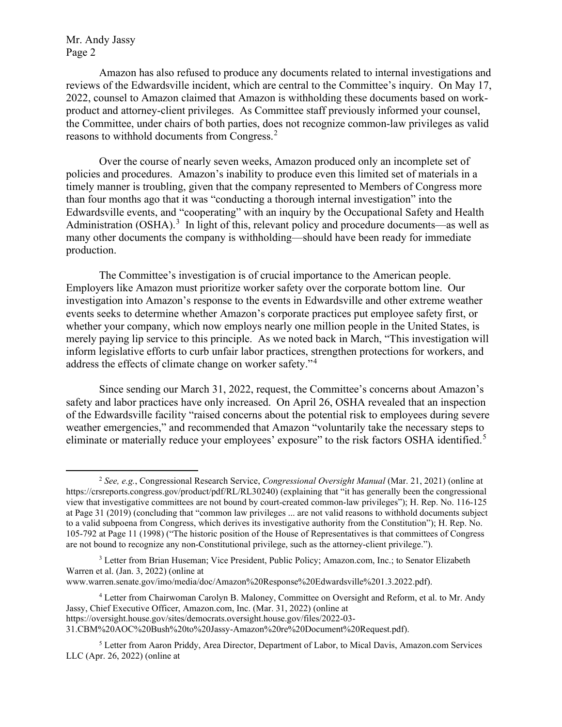Mr. Andy Jassy Page 2

Amazon has also refused to produce any documents related to internal investigations and reviews of the Edwardsville incident, which are central to the Committee's inquiry. On May 17, 2022, counsel to Amazon claimed that Amazon is withholding these documents based on workproduct and attorney-client privileges. As Committee staff previously informed your counsel, the Committee, under chairs of both parties, does not recognize common-law privileges as valid reasons to withhold documents from Congress.<sup>[2](#page-1-0)</sup>

Over the course of nearly seven weeks, Amazon produced only an incomplete set of policies and procedures. Amazon's inability to produce even this limited set of materials in a timely manner is troubling, given that the company represented to Members of Congress more than four months ago that it was "conducting a thorough internal investigation" into the Edwardsville events, and "cooperating" with an inquiry by the Occupational Safety and Health Administration  $(OSHA)$ .<sup>[3](#page-1-1)</sup> In light of this, relevant policy and procedure documents—as well as many other documents the company is withholding—should have been ready for immediate production.

The Committee's investigation is of crucial importance to the American people. Employers like Amazon must prioritize worker safety over the corporate bottom line. Our investigation into Amazon's response to the events in Edwardsville and other extreme weather events seeks to determine whether Amazon's corporate practices put employee safety first, or whether your company, which now employs nearly one million people in the United States, is merely paying lip service to this principle. As we noted back in March, "This investigation will inform legislative efforts to curb unfair labor practices, strengthen protections for workers, and address the effects of climate change on worker safety."[4](#page-1-2)

Since sending our March 31, 2022, request, the Committee's concerns about Amazon's safety and labor practices have only increased. On April 26, OSHA revealed that an inspection of the Edwardsville facility "raised concerns about the potential risk to employees during severe weather emergencies," and recommended that Amazon "voluntarily take the necessary steps to eliminate or materially reduce your employees' exposure" to the risk factors OSHA identified.<sup>[5](#page-1-3)</sup>

<span id="page-1-0"></span><sup>2</sup> *See, e.g.*, Congressional Research Service, *Congressional Oversight Manual* (Mar. 21, 2021) (online at https://crsreports.congress.gov/product/pdf/RL/RL30240) (explaining that "it has generally been the congressional view that investigative committees are not bound by court-created common-law privileges"); H. Rep. No. 116-125 at Page 31 (2019) (concluding that "common law privileges ... are not valid reasons to withhold documents subject to a valid subpoena from Congress, which derives its investigative authority from the Constitution"); H. Rep. No. 105-792 at Page 11 (1998) ("The historic position of the House of Representatives is that committees of Congress are not bound to recognize any non-Constitutional privilege, such as the attorney-client privilege.").

<span id="page-1-1"></span><sup>&</sup>lt;sup>3</sup> Letter from Brian Huseman; Vice President, Public Policy; Amazon.com, Inc.; to Senator Elizabeth Warren et al. (Jan. 3, 2022) (online at

www.warren.senate.gov/imo/media/doc/Amazon%20Response%20Edwardsville%201.3.2022.pdf).

<span id="page-1-2"></span><sup>4</sup> Letter from Chairwoman Carolyn B. Maloney, Committee on Oversight and Reform, et al. to Mr. Andy Jassy, Chief Executive Officer, Amazon.com, Inc. (Mar. 31, 2022) (online at https://oversight.house.gov/sites/democrats.oversight.house.gov/files/2022-03-

<sup>31.</sup>CBM%20AOC%20Bush%20to%20Jassy-Amazon%20re%20Document%20Request.pdf).

<span id="page-1-3"></span><sup>5</sup> Letter from Aaron Priddy, Area Director, Department of Labor, to Mical Davis, Amazon.com Services LLC (Apr. 26, 2022) (online at